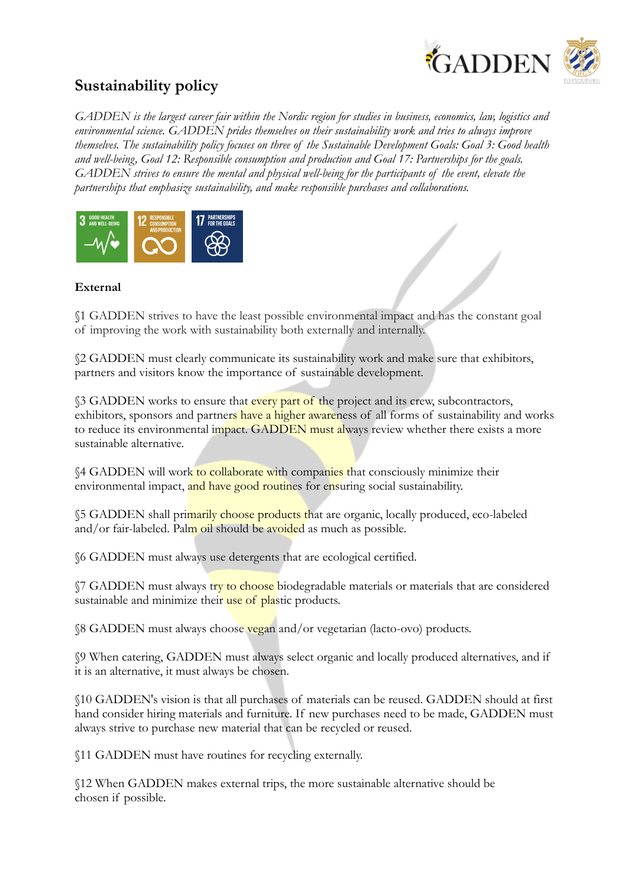

## **Sustainability policy**

*GADDEN is the largest career fair within the Nordic region for studies in business, economics, law, logistics and environmental science. GADDEN prides themselves on their sustainability work and tries to always improve themselves. The sustainability policy focuses on three of the Sustainable Development Goals: Goal 3: Good health and well-being, Goal 12: Responsible consumption and production and Goal 17: Partnerships for the goals. GADDEN strives to ensure the mental and physical well-being for the participants of the event, elevate the partnerships that emphasize sustainability, and make responsible purchases and collaborations.*



## **External**

§1 GADDEN strives to have the least possible environmental impact and has the constant goal of improving the work with sustainability both externally and internally.

§2 GADDEN must clearly communicate its sustainability work and make sure that exhibitors, partners and visitors know the importance of sustainable development.

§3 GADDEN works to ensure that every part of the project and its crew, subcontractors, exhibitors, sponsors and partners have a higher awareness of all forms of sustainability and works to reduce its environmental impact. GADDEN must always review whether there exists a more sustainable alternative.

§4 GADDEN will work to collaborate with companies that consciously minimize their environmental impact, and have good routines for ensuring social sustainability.

§5 GADDEN shall primarily choose products that are organic, locally produced, eco-labeled and/or fair-labeled. Palm oil should be avoided as much as possible.

§6 GADDEN must always use detergents that are ecological certified.

 $\sqrt{7}$  GADDEN must always try to choose biodegradable materials or materials that are considered sustainable and minimize their use of plastic products.

§8 GADDEN must always choose vegan and/or vegetarian (lacto-ovo) products.

§9 When catering, GADDEN must always select organic and locally produced alternatives, and if it is an alternative, it must always be chosen.

§10 GADDEN's vision is that all purchases of materials can be reused. GADDEN should at first hand consider hiring materials and furniture. If new purchases need to be made, GADDEN must always strive to purchase new material that can be recycled or reused.

§11 GADDEN must have routines for recycling externally.

§12 When GADDEN makes external trips, the more sustainable alternative should be chosen if possible.